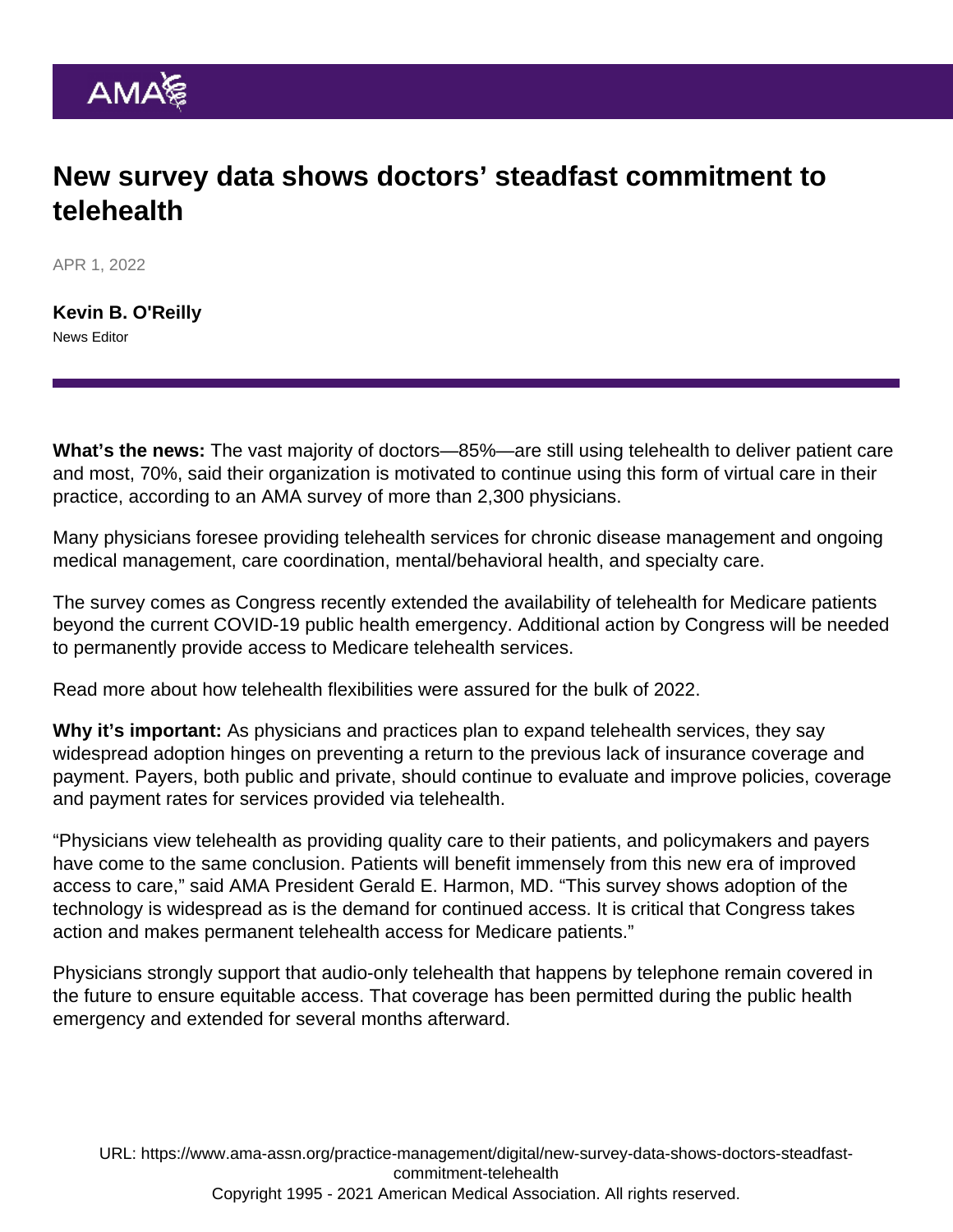## New survey data shows doctors' steadfast commitment to telehealth

APR 1, 2022

[Kevin B. O'Reilly](https://www.ama-assn.org/news-leadership-viewpoints/authors-news-leadership-viewpoints/kevin-b-oreilly) News Editor

What's the news: The vast majority of doctors—85%—are still using telehealth to deliver patient care and most, 70%, said their organization is motivated to continue using this form of virtual care in their practice, according to an [AMA survey of more than 2,300 physicians](https://www.ama-assn.org/practice-management/digital/telehealth-resource-center-research-findings).

Many physicians foresee providing telehealth services for chronic disease management and ongoing medical management, care coordination, mental/behavioral health, and specialty care.

The survey comes as Congress recently [extended](https://www.ama-assn.org/press-center/press-releases/ama-salutes-congress-passing-omnibus-telehealth-provisions) the availability of telehealth for Medicare patients beyond the current COVID-19 public health emergency. Additional action by Congress will be needed to permanently provide access to Medicare telehealth services.

Read more about how [telehealth flexibilities were assured for the bulk of 2022.](https://www.ama-assn.org/practice-management/digital/telehealth-flexibilities-assured-bulk-2022)

Why it's important: As physicians and practices plan to expand telehealth services, they say widespread adoption hinges on preventing a return to the previous lack of insurance coverage and payment. Payers, both public and private, should continue to evaluate and improve policies, coverage and payment rates for services provided via telehealth.

"Physicians view telehealth as providing quality care to their patients, and policymakers and payers have come to the same conclusion. Patients will benefit immensely from this new era of improved access to care," said AMA President [Gerald E. Harmon, MD.](https://www.ama-assn.org/about/board-trustees/gerald-e-harmon-md) "This survey shows adoption of the technology is widespread as is the demand for continued access. It is critical that Congress takes action and makes permanent telehealth access for Medicare patients."

Physicians strongly support that audio-only telehealth that happens by telephone remain covered in the future to ensure equitable access. That coverage has been permitted during the public health emergency and extended for several months afterward.

URL: [https://www.ama-assn.org/practice-management/digital/new-survey-data-shows-doctors-steadfast](https://www.ama-assn.org/practice-management/digital/new-survey-data-shows-doctors-steadfast-commitment-telehealth)[commitment-telehealth](https://www.ama-assn.org/practice-management/digital/new-survey-data-shows-doctors-steadfast-commitment-telehealth) Copyright 1995 - 2021 American Medical Association. All rights reserved.